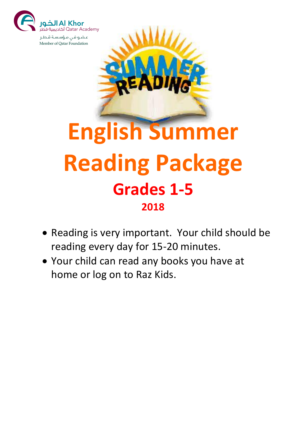



## **Reading Package Grades 1-5 2018**

- Reading is very important. Your child should be reading every day for 15-20 minutes.
- Your child can read any books you have at home or log on to Raz Kids.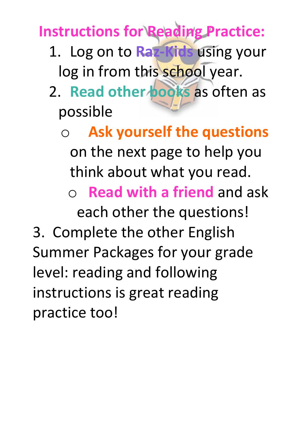**Instructions for Reading Practice:**

- 1. Log on to **Raz-Kids** using your log in from this school year.
- 2. **Read other books** as often as possible
	- o **Ask yourself the questions** on the next page to help you think about what you read. **Read with a friend and ask**

each other the questions!

3. Complete the other English Summer Packages for your grade level: reading and following instructions is great reading practice too!